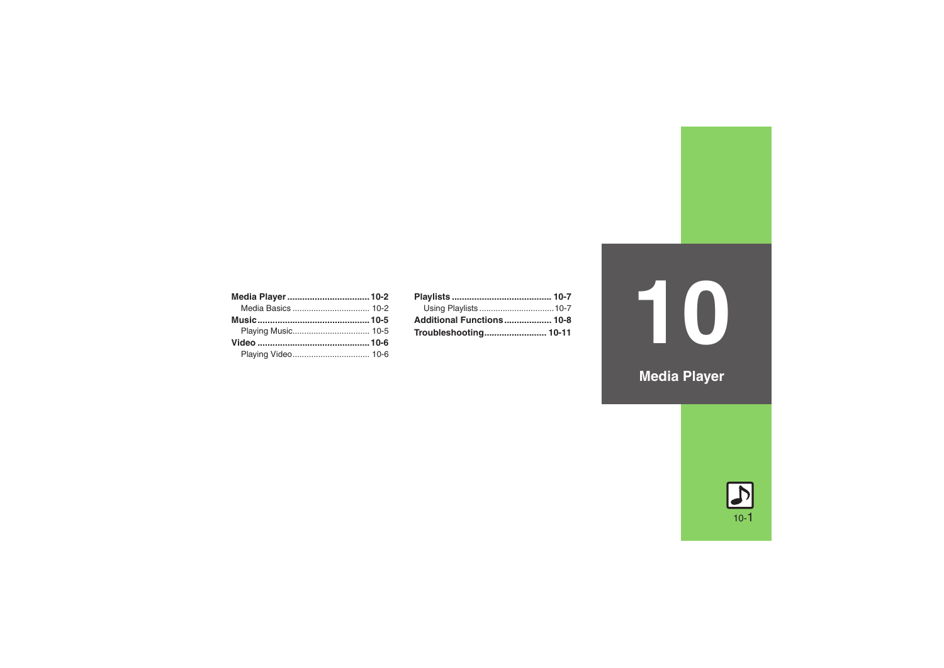| Additional Functions 10-8 |  |
|---------------------------|--|
|                           |  |

# **10**

**Media Player**

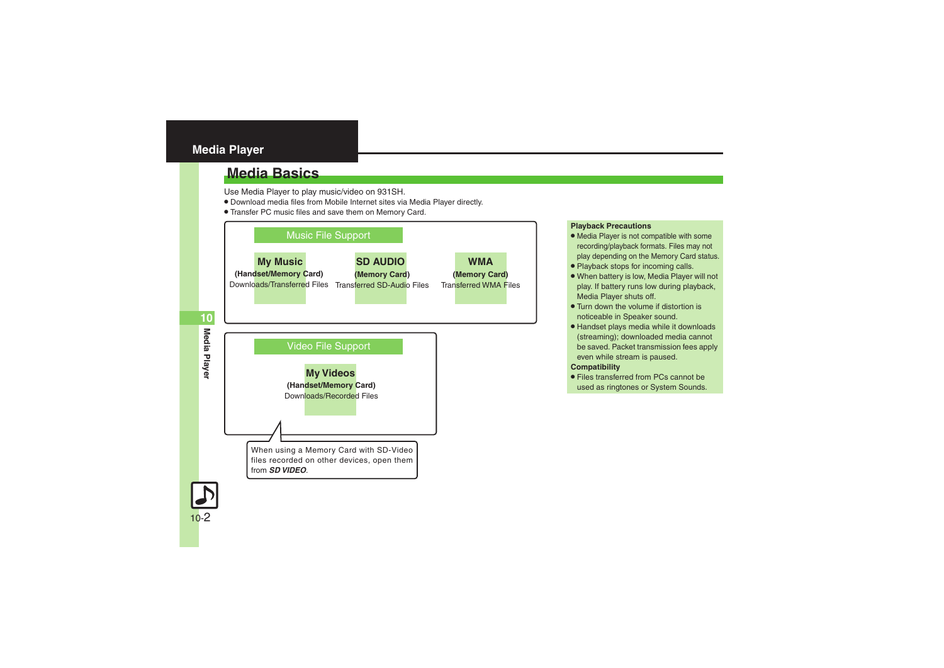# <span id="page-1-0"></span>**Media Player**

# <span id="page-1-1"></span>**Media Basics**

Use Media Player to play music/video on 931SH.

- . Download media files from Mobile Internet sites via Media Player directly.
- . Transfer PC music files and save them on Memory Card.



# **Playback Precautions**

- Media Player is not compatible with some recording/playback formats. Files may not play depending on the Memory Card status.
- . Playback stops for incoming calls.
- . When battery is low, Media Player will not play. If battery runs low during playback, Media Player shuts off.
- Turn down the volume if distortion is noticeable in Speaker sound.
- . Handset plays media while it downloads (streaming); downloaded media cannot be saved. Packet transmission fees apply even while stream is paused.

# **Compatibility**

. Files transferred from PCs cannot be used as ringtones or System Sounds.

**Media Player**

Media Player

**10**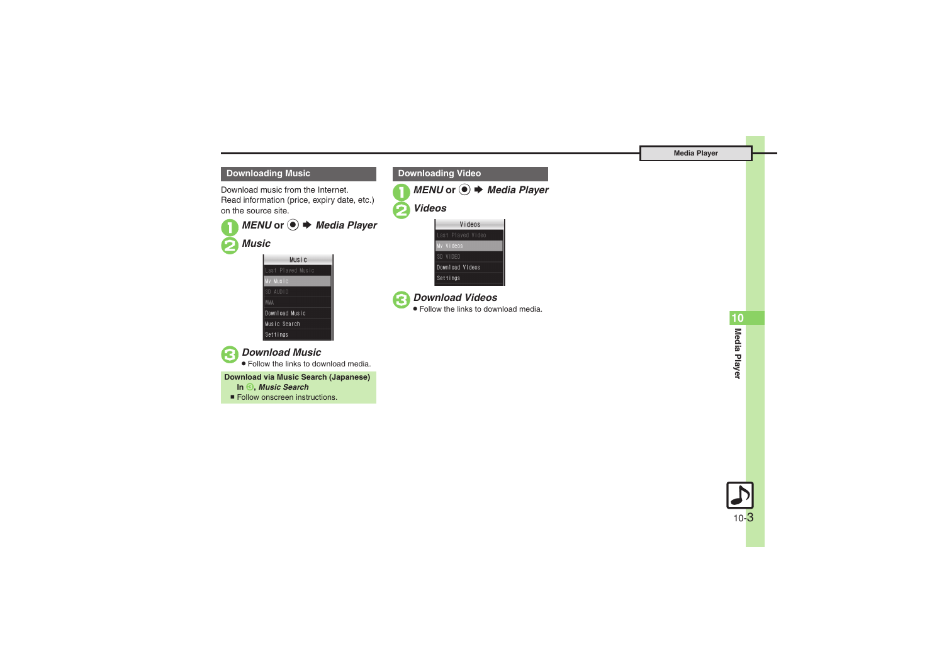**Media Player**

# **Downloading Music**

Download music from the Internet.Read information (price, expiry date, etc.) on the source site.

■ *MENU* or ● *★ Media Player* 

# 2*Music* Music Last Played Music My Music  $SD$   $AUD10$ **AMW** Download Music Music Search





# 3*Download Music*

. Follow the links to download media.

**Download via Music Search (Japanese)**

- **In**  3**,** *Music Search*
- Follow onscreen instructions.









# 3*Download Videos*

. Follow the links to download media.

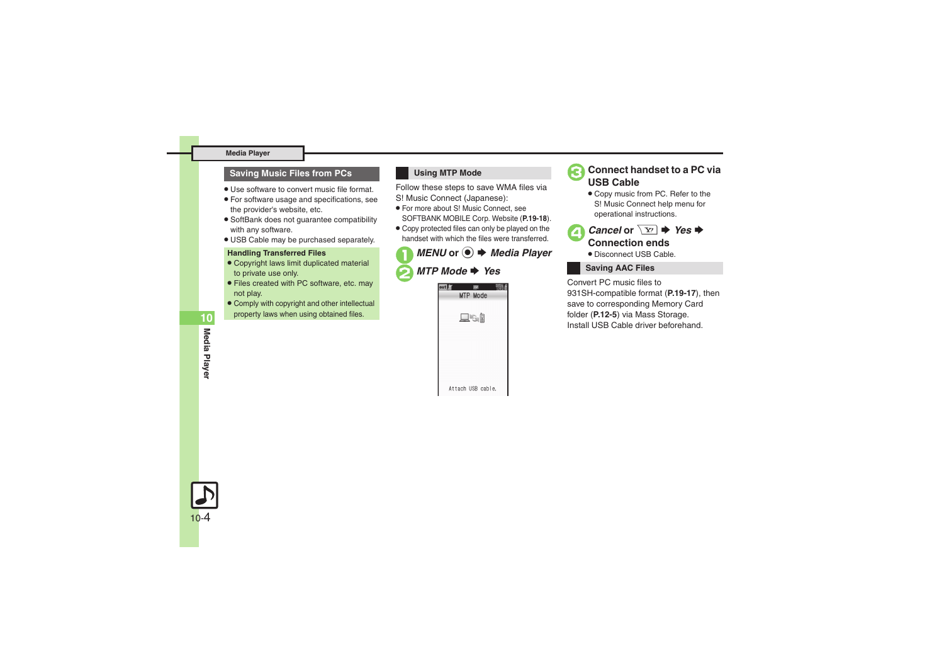## **Media Player**

## **Saving Music Files from PCs**

- . Use software to convert music file format.
- . For software usage and specifications, see the provider's website, etc.
- . SoftBank does not guarantee compatibility with any software.
- . USB Cable may be purchased separately.

## **Handling Transferred Files**

- . Copyright laws limit duplicated material to private use only.
- . Files created with PC software, etc. may not play.
- . Comply with copyright and other intellectual property laws when using obtained files.

# **Using MTP Mode**

Follow these steps to save WMA files via S! Music Connect (Japanese):

- . For more about S! Music Connect, see SOFTBANK MOBILE Corp. Website (**P.19-18**).
- . Copy protected files can only be played on the handset with which the files were transferred.

# *MENU* or ● **→** *Media Player MTP Mode* → *Yes*





. Copy music from PC. Refer to the S! Music Connect help menu for operational instructions.



. Disconnect USB Cable.

# **Saving AAC Files**

Convert PC music files to 931SH-compatible format (**P.19-17**), then save to corresponding Memory Card folder (**P.12-5**) via Mass Storage. Install USB Cable driver beforehand.

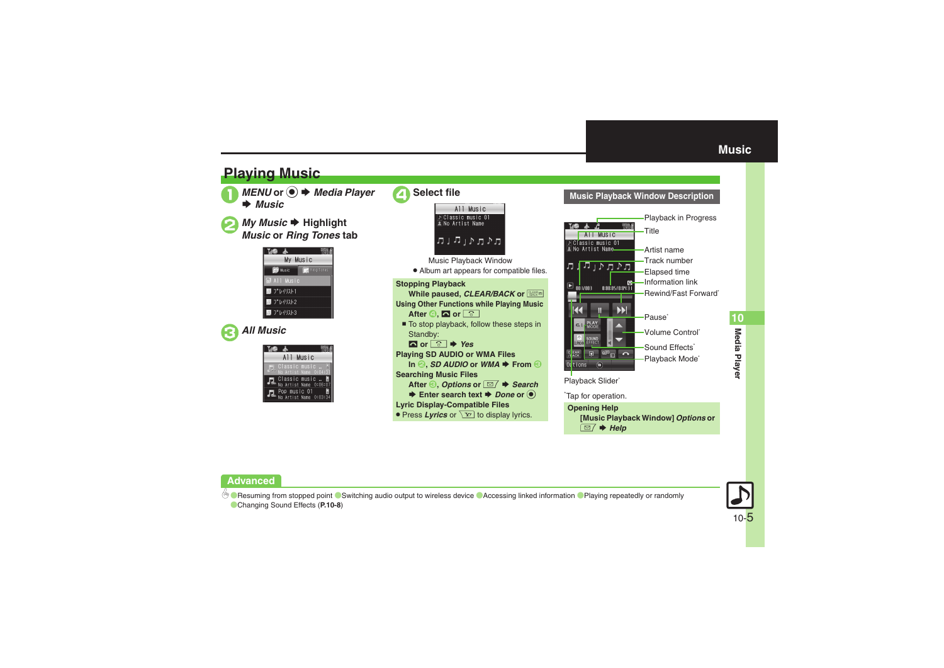<span id="page-4-1"></span>

# **Advanced**

[Resuming from stopped point](#page-7-1) C [Switching audio output to wireless device](#page-7-2) C[Accessing linked information](#page-7-3) C [Playing repeatedly or randomly](#page-7-4) ([Changing Sound Effects](#page-7-5) (**[P.10-8](#page-7-1)**)



<span id="page-4-0"></span>**10**Media Playe **Media Player**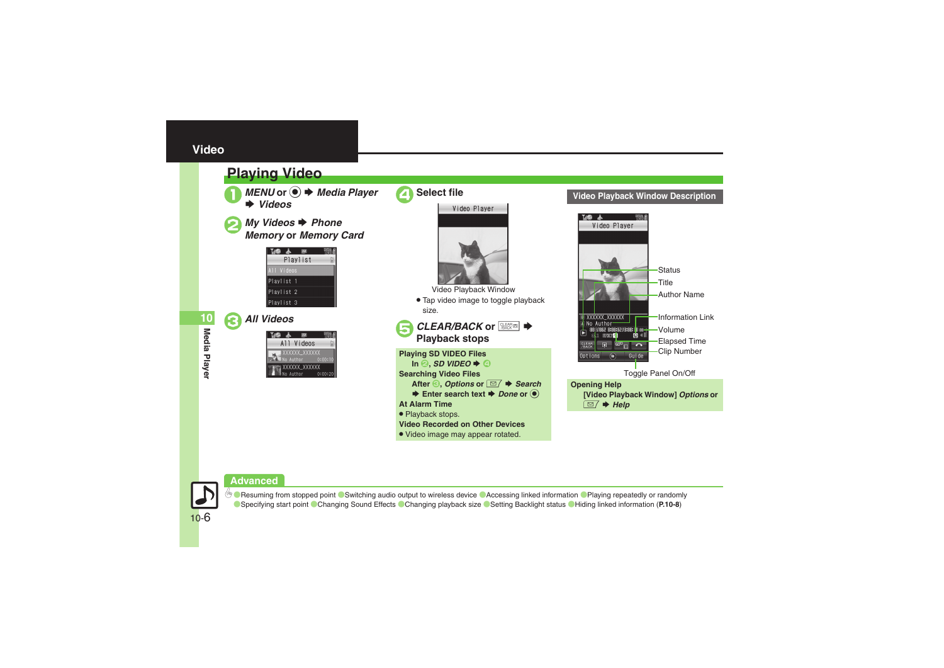# <span id="page-5-0"></span>**Video**

# <span id="page-5-1"></span>**Playing Video**

 $MENU$  or  $\odot$   $\rightarrow$  *Media Player Videos*

*My Videos → Phone*<br>*Memory* or *Memory Card* 



3*All Videos*

| All Videos |                      |         |
|------------|----------------------|---------|
| No Author  | XXXXXX XXXXXX        | 0:00:10 |
| No Author  | <b>XXXXXX_XXXXXX</b> | 0:00:20 |



# **Video Playback Window Description**



**Media Player**

Media Player

**10**

# **Advanced**



**6 Chesuming from stopped point C[Switching audio output to wireless device](#page-7-2) C[Accessing linked information](#page-7-3) CPlaying repeatedly or randomly** ([Specifying start point](#page-7-7) ([Changing Sound Effects](#page-7-8) ([Changing playback size](#page-7-9) ([Setting Backlight status](#page-7-10) ([Hiding linked information](#page-7-11) (**[P.10-8](#page-7-1)**)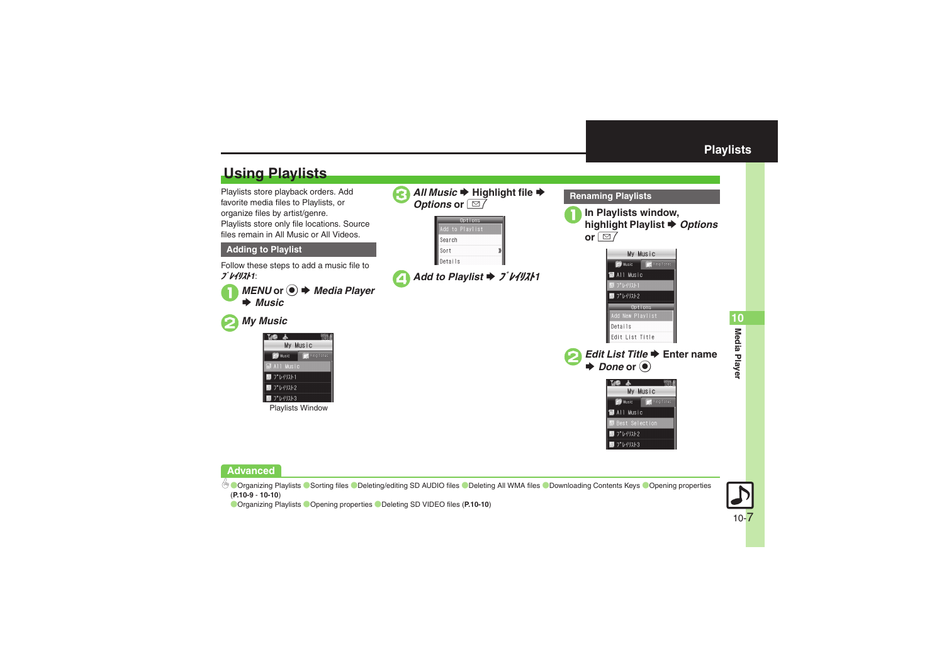<span id="page-6-1"></span><span id="page-6-0"></span>

# **Advanced**

4 [Organizing Playlists](#page-8-0) O[Sorting files](#page-8-1) O[Deleting/editing SD AUDIO files](#page-8-2) O[Deleting All](#page-8-3) WMA files O[Downloading Contents Keys](#page-8-4) O[Opening properties](#page-9-0) (**[P.10-9](#page-8-0)** - **[10-10](#page-9-0)**)

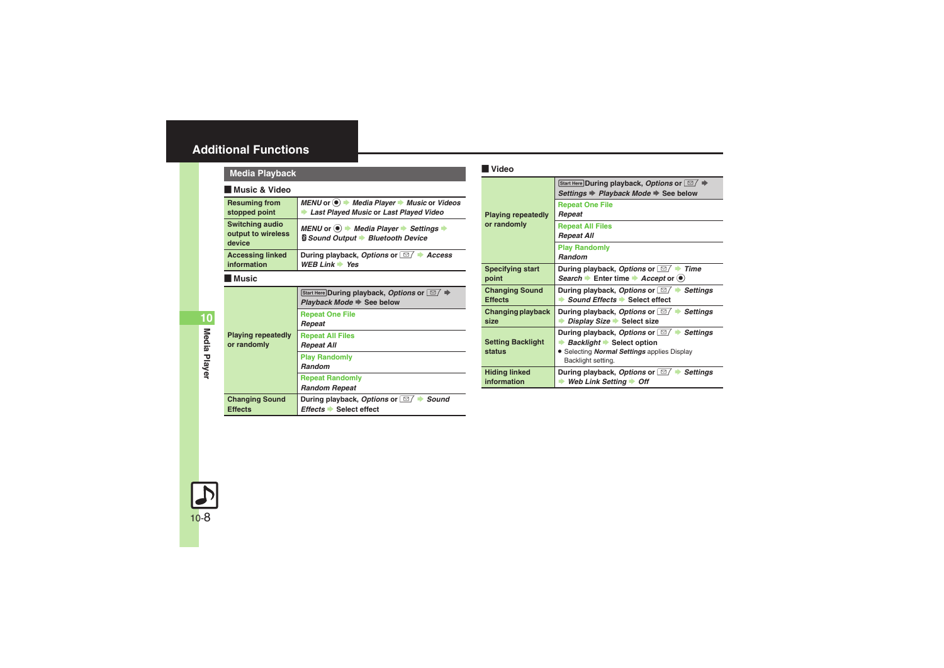# <span id="page-7-0"></span>**Additional Functions**

<span id="page-7-3"></span><span id="page-7-2"></span><span id="page-7-1"></span>

| <b>Media Playback</b>                    |                                                                                                            |                                                                                                                           | Video                      |                              |  |
|------------------------------------------|------------------------------------------------------------------------------------------------------------|---------------------------------------------------------------------------------------------------------------------------|----------------------------|------------------------------|--|
| <b>Music &amp; Video</b>                 |                                                                                                            |                                                                                                                           |                            |                              |  |
|                                          | <b>Resuming from</b><br>stopped point                                                                      | MENU or $\odot \rightarrow$ Media Player $\rightarrow$ Music or Videos<br>Last Played Music or Last Played Video          |                            | Playing                      |  |
|                                          | <b>Switching audio</b><br>output to wireless<br>device                                                     | MENU or $\odot \rightarrow$ Media Player $\rightarrow$ Settings $\rightarrow$<br><b>§ Sound Output → Bluetooth Device</b> |                            | or rando                     |  |
|                                          | <b>Accessing linked</b><br>information                                                                     | During playback, Options or <b><i>I</i></b> + Access<br>WEB Link $\Rightarrow$ Yes                                        |                            | <b>Specifyi</b>              |  |
|                                          | l Music                                                                                                    |                                                                                                                           |                            | point                        |  |
|                                          | Start Here During playback, Options or $\boxed{\simeq}$ $\blacktriangleright$<br>Playback Mode → See below |                                                                                                                           | Changin<br><b>Effects</b>  |                              |  |
|                                          |                                                                                                            | <b>Repeat One File</b><br>Repeat                                                                                          |                            | Changin<br>size              |  |
| <b>Playing repeatedly</b><br>or randomly | <b>Repeat All Files</b><br><b>Repeat All</b>                                                               |                                                                                                                           | <b>Setting I</b><br>status |                              |  |
|                                          | <b>Play Randomly</b><br><b>Random</b>                                                                      |                                                                                                                           |                            |                              |  |
|                                          |                                                                                                            | <b>Repeat Randomly</b><br><b>Random Repeat</b>                                                                            |                            | <b>Hiding li</b><br>informat |  |
|                                          | <b>Changing Sound</b><br><b>Effects</b>                                                                    | During playback, Options or <b><i>im</i></b> Sound<br>Effects Select effect                                               |                            |                              |  |

<span id="page-7-11"></span><span id="page-7-10"></span><span id="page-7-9"></span><span id="page-7-8"></span><span id="page-7-7"></span><span id="page-7-6"></span>

| <b>Playing repeatedly</b><br>or randomly | Start Here During playback, Options or $\Box$ $\blacktriangleright$<br>Settings → Playback Mode → See below                                                   |
|------------------------------------------|---------------------------------------------------------------------------------------------------------------------------------------------------------------|
|                                          | <b>Repeat One File</b><br>Repeat                                                                                                                              |
|                                          | <b>Repeat All Files</b><br><b>Repeat All</b>                                                                                                                  |
|                                          | <b>Play Randomly</b><br>Random                                                                                                                                |
| <b>Specifying start</b><br>point         | During playback, Options or 27<br><b>Time</b><br>Search Enter time Accept or $\bullet$                                                                        |
| <b>Changing Sound</b><br><b>Effects</b>  | During playback, Options or $\Box$ Settings<br>Sound Effects Select effect                                                                                    |
| Changing playback<br>size                | During playback, Options or $\Box$ $\rightarrow$<br><b>Settings</b><br>Display Size Select size                                                               |
| <b>Setting Backlight</b><br>status       | During playback, Options or [ <i>⊠</i> / ■<br>Settings<br>Backlight Select option<br>• Selecting <i>Normal Settings</i> applies Display<br>Backlight setting. |
| <b>Hiding linked</b><br>information      | During playback, Options or [ <i>⊠</i> / =<br><b>Settings</b><br>Web Link Setting $\rightarrow$ Off                                                           |
|                                          |                                                                                                                                                               |

<span id="page-7-5"></span><span id="page-7-4"></span>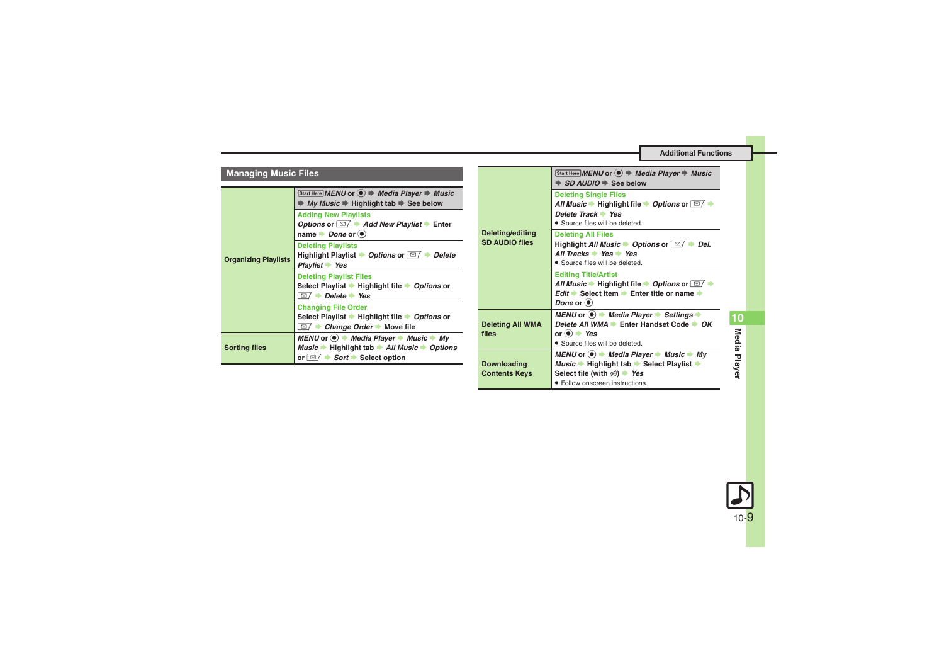**Additional Functions**

<span id="page-8-4"></span><span id="page-8-3"></span><span id="page-8-2"></span>. Follow onscreen instructions.

<span id="page-8-1"></span><span id="page-8-0"></span>

| <b>Managing Music Files</b>                              |                                                                                                                                                                                                                                                                                          |                                           | Start Here MENU or $\textcircled{\textcircled{\textcirc}}$ $\Rightarrow$ Media Player $\Rightarrow$ Music<br>$\Rightarrow$ SD AUDIO $\Rightarrow$ See below                                                                                                |
|----------------------------------------------------------|------------------------------------------------------------------------------------------------------------------------------------------------------------------------------------------------------------------------------------------------------------------------------------------|-------------------------------------------|------------------------------------------------------------------------------------------------------------------------------------------------------------------------------------------------------------------------------------------------------------|
| <b>Organizing Playlists</b>                              | Start Here MENU or $\textcircled{\textcircled{\textcirc}}$ $\Rightarrow$ Media Player $\Rightarrow$ Music<br>$\Rightarrow$ My Music $\Rightarrow$ Highlight tab $\Rightarrow$ See below<br><b>Adding New Playlists</b><br>Options or $\Box$ Add New Playlist $\blacktriangleright$ Enter |                                           | <b>Deleting Single Files</b><br>All Music $\rightarrow$ Highlight file $\rightarrow$ Options or $\boxed{\simeq}$ $\rightarrow$<br>Delete Track $\rightarrow$ Yes<br>• Source files will be deleted.                                                        |
|                                                          | name $\rightarrow$ <i>Done</i> or $\circledast$<br><b>Deleting Playlists</b><br>Highlight Playlist $\rightarrow$ Options or $\boxed{\cong}$ $\rightarrow$ Delete<br>$Plavlist \rightarrow Yes$                                                                                           | Deleting/editing<br><b>SD AUDIO files</b> | <b>Deleting All Files</b><br>Highlight All Music $\rightarrow$ Options or $\boxed{\cong}$ $\rightarrow$ Del.<br>All Tracks $\rightarrow$ Yes $\rightarrow$ Yes<br>• Source files will be deleted.                                                          |
|                                                          | <b>Deleting Playlist Files</b><br>Select Playlist → Highlight file → Options or<br>$\Box$ $\rightarrow$ Delete $\rightarrow$ Yes                                                                                                                                                         |                                           | <b>Editing Title/Artist</b><br>All Music $\rightarrow$ Highlight file $\rightarrow$ Options or $\boxed{\simeq}$ $\rightarrow$<br><i>Edit</i> $\Rightarrow$ Select item $\Rightarrow$ Enter title or name $\Rightarrow$<br>Done or $\left( \bullet \right)$ |
|                                                          | <b>Changing File Order</b><br>Select Playlist $\rightarrow$ Highlight file $\rightarrow$ Options or<br>$\Box$ $\Box$ Change Order $\blacktriangleright$ Move file                                                                                                                        | <b>Deleting All WMA</b>                   | MENU or $\bullet$ $\bullet$ Media Player $\bullet$ Settings $\bullet$<br>Delete All WMA Enter Handset Code CK                                                                                                                                              |
| <b>Sorting files</b>                                     | MENU or $\bullet$ $\bullet$ Media Player $\bullet$ Music $\bullet$ My<br>Music $\rightarrow$ Highlight tab $\rightarrow$ All Music $\rightarrow$ Options                                                                                                                                 | files                                     | or $\odot$ $\rightarrow$ Yes<br>• Source files will be deleted.                                                                                                                                                                                            |
| or $\Box$ $\rightarrow$ Sort $\rightarrow$ Select option |                                                                                                                                                                                                                                                                                          | Downloading<br><b>Contents Keys</b>       | MENU or $\bullet$ $\bullet$ Media Player $\bullet$ Music $\bullet$ My<br>Music $\rightarrow$ Highlight tab $\rightarrow$ Select Playlist $\rightarrow$<br>Select file (with $\frac{1}{2}$ ) $\rightarrow$ Yes                                              |

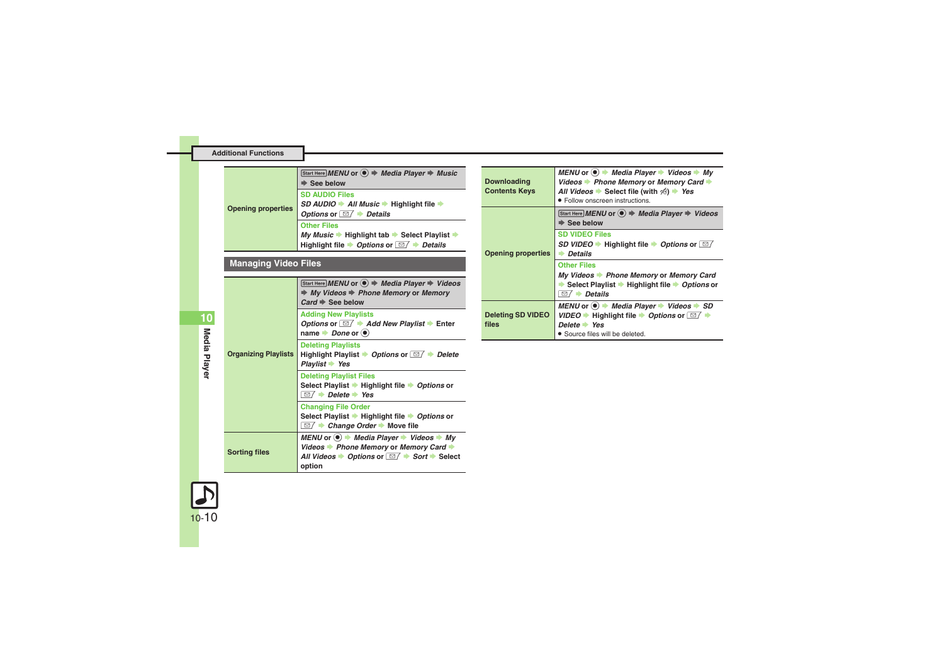<span id="page-9-0"></span>

| <b>Additional Functions</b> |                                                                                                                                                                                                            |                          |
|-----------------------------|------------------------------------------------------------------------------------------------------------------------------------------------------------------------------------------------------------|--------------------------|
|                             |                                                                                                                                                                                                            |                          |
|                             | Start Here MENU or $\textcircled{\textcircled{\textcirc}}$ $\Rightarrow$ Media Player $\Rightarrow$ Music<br>$\Rightarrow$ See below                                                                       | <b>Downloa</b>           |
|                             | <b>SD AUDIO Files</b><br>$SD$ AUDIO $\rightarrow$ All Music $\rightarrow$ Highlight file $\rightarrow$                                                                                                     | <b>Content</b>           |
| <b>Opening properties</b>   | Options or $\Box$ $\rightarrow$ Details                                                                                                                                                                    |                          |
|                             | <b>Other Files</b><br>My Music $\Rightarrow$ Highlight tab $\Rightarrow$ Select Playlist $\Rightarrow$<br>Highlight file $\rightarrow$ Options or $\boxed{\text{S}}$ $\rightarrow$ Details                 |                          |
| <b>Managing Video Files</b> |                                                                                                                                                                                                            | Opening                  |
|                             | Start Here MENU or $\textcircled{\textcircled{\textcirc}}$ $\Rightarrow$ Media Player $\Rightarrow$ Videos<br>$\Rightarrow$ My Videos $\Rightarrow$ Phone Memory or Memory<br>$Card \Rightarrow$ See below |                          |
|                             | <b>Adding New Playlists</b><br>Options or $\boxed{\simeq}$ $\blacktriangleright$ Add New Playlist $\blacktriangleright$ Enter<br>name $\rightarrow$ <i>Done</i> or $\odot$                                 | <b>Deleting</b><br>files |
| <b>Organizing Playlists</b> | <b>Deleting Playlists</b><br>Highlight Playlist $\rightarrow$ Options or $\boxed{\simeq}$ $\rightarrow$ Delete<br>$Plavlist$ Yes                                                                           |                          |
|                             | <b>Deleting Playlist Files</b><br>Select Playlist → Highlight file → Options or<br>$\overline{\boxdot}$ $\rightarrow$ Delete $\rightarrow$ Yes                                                             |                          |
|                             | <b>Changing File Order</b><br>Select Playlist → Highlight file → Options or<br>$\Box$ $\rightarrow$ Change Order $\rightarrow$ Move file                                                                   |                          |
| <b>Sorting files</b>        | MENU or $\odot \rightarrow$ Media Player $\rightarrow$ Videos $\rightarrow$ My<br>Videos → Phone Memory or Memory Card →                                                                                   |                          |
|                             | All Videos $\rightarrow$ Options or $\boxed{\text{or}}$ $\rightarrow$ Sort $\rightarrow$ Select<br>option                                                                                                  |                          |

<span id="page-9-3"></span><span id="page-9-2"></span>

| <b>Downloading</b><br><b>Contents Keys</b> | MENU or $\circledast$ $\rightarrow$ Media Player $\rightarrow$ Videos $\rightarrow$ My<br>Videos $\blacktriangleright$ Phone Memory or Memory Card $\blacktriangleright$<br>All Videos Select file (with $\frac{1}{2}$ ) > Yes<br>• Follow onscreen instructions. |
|--------------------------------------------|-------------------------------------------------------------------------------------------------------------------------------------------------------------------------------------------------------------------------------------------------------------------|
|                                            | Start Here MENU or $\left( \bullet \right)$ $\Rightarrow$ Media Player $\Rightarrow$ Videos<br>$\Rightarrow$ See below                                                                                                                                            |
| <b>Opening properties</b>                  | <b>SD VIDEO Files</b><br>SD VIDEO $\rightarrow$ Highlight file $\rightarrow$ Options or $\boxed{\simeq}$<br>$\rightarrow$ Details                                                                                                                                 |
|                                            | <b>Other Files</b><br>My Videos Phone Memory or Memory Card<br>Select Playlist → Highlight file → Options or<br>$\rightarrow$ Details<br>⊠                                                                                                                        |
| <b>Deleting SD VIDEO</b><br>files          | MENU or $\circledast$ $\Rightarrow$ Media Player $\Rightarrow$ Videos $\Rightarrow$ SD<br>VIDEO $\rightarrow$ Highlight file $\rightarrow$ Options or $\boxed{\simeq}$<br>Delete Yes<br>• Source files will be deleted.                                           |

<span id="page-9-1"></span>